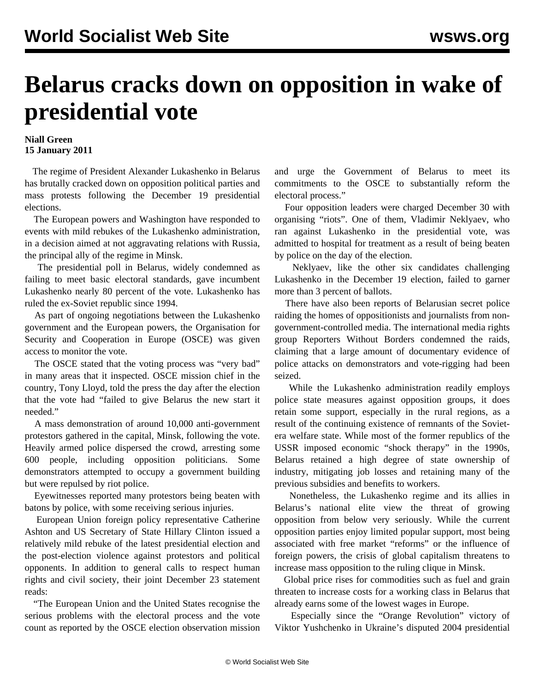## **Belarus cracks down on opposition in wake of presidential vote**

## **Niall Green 15 January 2011**

 The regime of President Alexander Lukashenko in Belarus has brutally cracked down on opposition political parties and mass protests following the December 19 presidential elections.

 The European powers and Washington have responded to events with mild rebukes of the Lukashenko administration, in a decision aimed at not aggravating relations with Russia, the principal ally of the regime in Minsk.

 The presidential poll in Belarus, widely condemned as failing to meet basic electoral standards, gave incumbent Lukashenko nearly 80 percent of the vote. Lukashenko has ruled the ex-Soviet republic since 1994.

 As part of ongoing negotiations between the Lukashenko government and the European powers, the Organisation for Security and Cooperation in Europe (OSCE) was given access to monitor the vote.

 The OSCE stated that the voting process was "very bad" in many areas that it inspected. OSCE mission chief in the country, Tony Lloyd, told the press the day after the election that the vote had "failed to give Belarus the new start it needed."

 A mass demonstration of around 10,000 anti-government protestors gathered in the capital, Minsk, following the vote. Heavily armed police dispersed the crowd, arresting some 600 people, including opposition politicians. Some demonstrators attempted to occupy a government building but were repulsed by riot police.

 Eyewitnesses reported many protestors being beaten with batons by police, with some receiving serious injuries.

 European Union foreign policy representative Catherine Ashton and US Secretary of State Hillary Clinton issued a relatively mild rebuke of the latest presidential election and the post-election violence against protestors and political opponents. In addition to general calls to respect human rights and civil society, their joint December 23 statement reads:

 "The European Union and the United States recognise the serious problems with the electoral process and the vote count as reported by the OSCE election observation mission and urge the Government of Belarus to meet its commitments to the OSCE to substantially reform the electoral process."

 Four opposition leaders were charged December 30 with organising "riots". One of them, Vladimir Neklyaev, who ran against Lukashenko in the presidential vote, was admitted to hospital for treatment as a result of being beaten by police on the day of the election.

 Neklyaev, like the other six candidates challenging Lukashenko in the December 19 election, failed to garner more than 3 percent of ballots.

 There have also been reports of Belarusian secret police raiding the homes of oppositionists and journalists from nongovernment-controlled media. The international media rights group Reporters Without Borders condemned the raids, claiming that a large amount of documentary evidence of police attacks on demonstrators and vote-rigging had been seized.

 While the Lukashenko administration readily employs police state measures against opposition groups, it does retain some support, especially in the rural regions, as a result of the continuing existence of remnants of the Sovietera welfare state. While most of the former republics of the USSR imposed economic "shock therapy" in the 1990s, Belarus retained a high degree of state ownership of industry, mitigating job losses and retaining many of the previous subsidies and benefits to workers.

 Nonetheless, the Lukashenko regime and its allies in Belarus's national elite view the threat of growing opposition from below very seriously. While the current opposition parties enjoy limited popular support, most being associated with free market "reforms" or the influence of foreign powers, the crisis of global capitalism threatens to increase mass opposition to the ruling clique in Minsk.

 Global price rises for commodities such as fuel and grain threaten to increase costs for a working class in Belarus that already earns some of the lowest wages in Europe.

 Especially since the "Orange Revolution" victory of Viktor Yushchenko in Ukraine's disputed 2004 presidential